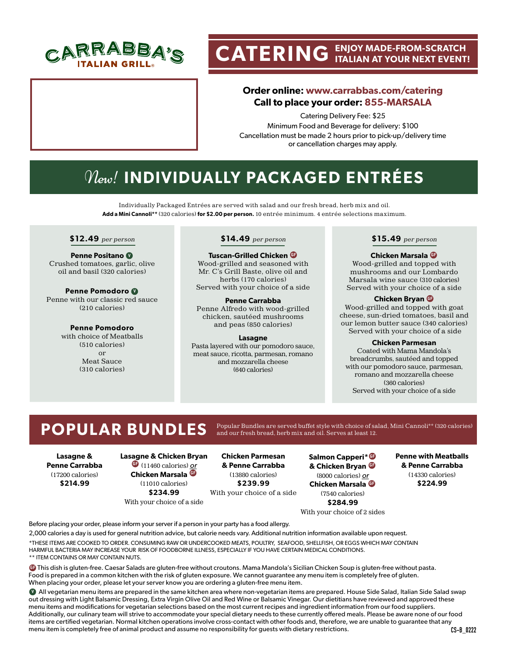

# **CATERING ENJOY MADE-FROM-SCRATCH ITALIAN AT YOUR NEXT EVENT!**

# **Order online: www.carrabbas.com/catering Call to place your order: 855-MARSALA**

Catering Delivery Fee: \$25 Minimum Food and Beverage for delivery: \$100 Cancellation must be made 2 hours prior to pick-up/delivery time or cancellation charges may apply.

# New! **INDIVIDUALLY PACKAGED ENTRÉES**

Individually Packaged Entrées are served with salad and our fresh bread, herb mix and oil. **Add a Mini Cannoli\*\*** (320 calories) **for \$2.00 per person.** 10 entrée minimum. 4 entrée selections maximum.

### **\$12.49** per person

**Penne Positano <sup>V</sup>** Crushed tomatoes, garlic, olive oil and basil (320 calories)

**Penne Pomodoro <sup>V</sup>** Penne with our classic red sauce (210 calories)

> **Penne Pomodoro**  with choice of Meatballs (510 calories) or Meat Sauce (310 calories)

### **\$14.49** per person

**Tuscan-Grilled Chicken GF** Wood-grilled and seasoned with Mr. C's Grill Baste, olive oil and herbs (170 calories) Served with your choice of a side

**Penne Carrabba** Penne Alfredo with wood-grilled chicken, sautéed mushrooms and peas (850 calories)

### **Lasagne**

Pasta layered with our pomodoro sauce, meat sauce, ricotta, parmesan, romano and mozzarella cheese (640 calories)

### **\$15.49** per person

### **Chicken Marsala GF**

Wood-grilled and topped with mushrooms and our Lombardo Marsala wine sauce (310 calories) Served with your choice of a side

### **Chicken Bryan GF**

Wood-grilled and topped with goat cheese, sun-dried tomatoes, basil and our lemon butter sauce (340 calories) Served with your choice of a side

### **Chicken Parmesan**

Coated with Mama Mandola's breadcrumbs, sautéed and topped with our pomodoro sauce, parmesan, romano and mozzarella cheese (360 calories) Served with your choice of a side

POPULAR BUNDLES Popular Bundles are served buffet style with choice of salad, Mini Cannoli\*\* (320 calories)

**Lasagne & Penne Carrabba** (17200 calories) **\$214.99**

## **Lasagne & Chicken Bryan GF** (11460 calories) or **Chicken Marsala GF** (11010 calories) **\$234.99**

With your choice of a side

**Chicken Parmesan & Penne Carrabba** (13880 calories) **\$239.99** With your choice of a side

**Salmon Capperi\* GF & Chicken Bryan GF** (8000 calories) or **Chicken Marsala GF** (7540 calories) **\$284.99**

**Penne with Meatballs & Penne Carrabba** (14330 calories) **\$224.99**

With your choice of 2 sides

Before placing your order, please inform your server if a person in your party has a food allergy.

2,000 calories a day is used for general nutrition advice, but calorie needs vary. Additional nutrition information available upon request. \*THESE ITEMS ARE COOKED TO ORDER. CONSUMING RAW OR UNDERCOOKED MEATS, POULTRY, SEAFOOD, SHELLFISH, OR EGGS WHICH MAY CONTAIN HARMFUL BACTERIA MAY INCREASE YOUR RISK OF FOODBORNE ILLNESS, ESPECIALLY IF YOU HAVE CERTAIN MEDICAL CONDITIONS. \*\* ITEM CONTAINS OR MAY CONTAIN NUTS.

**GF** This dish is gluten-free. Caesar Salads are gluten-free without croutons. Mama Mandola's Sicilian Chicken Soup is gluten-free without pasta. Food is prepared in a common kitchen with the risk of gluten exposure. We cannot guarantee any menu item is completely free of gluten. When placing your order, please let your server know you are ordering a gluten-free menu item.

**V** All vegetarian menu items are prepared in the same kitchen area where non-vegetarian items are prepared. House Side Salad, Italian Side Salad swap out dressing with Light Balsamic Dressing, Extra Virgin Olive Oil and Red Wine or Balsamic Vinegar. Our dietitians have reviewed and approved these menu items and modifications for vegetarian selections based on the most current recipes and ingredient information from our food suppliers. Additionally, our culinary team will strive to accommodate your special dietary needs to these currently offered meals. Please be aware none of our food items are certified vegetarian. Normal kitchen operations involve cross-contact with other foods and, therefore, we are unable to guarantee that any menu item is completely free of animal product and assume no responsibility for guests with dietary restrictions.